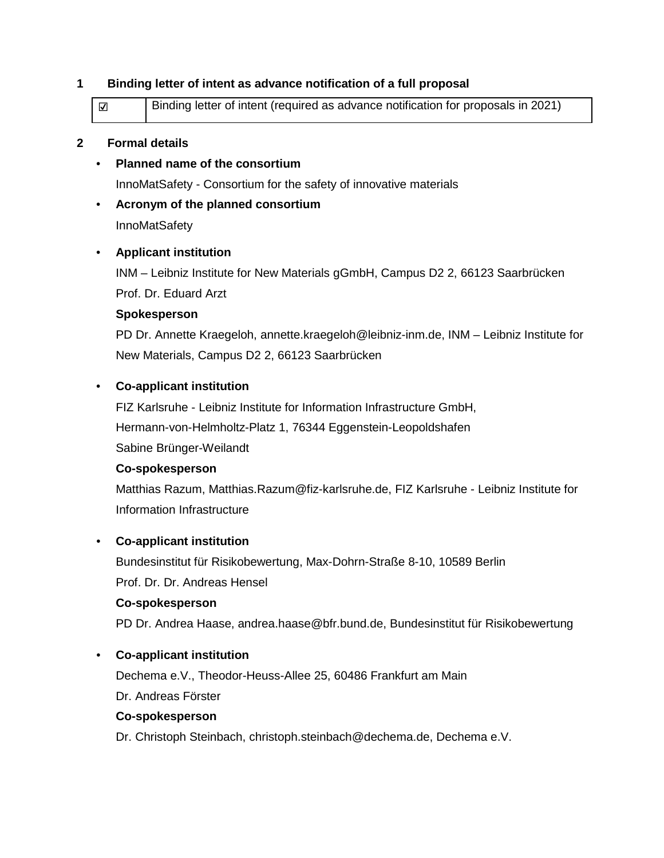#### **1 Binding letter of intent as advance notification of a full proposal**

| $\overline{\mathsf{v}}$ | Binding letter of intent (required as advance notification for proposals in 2021) |
|-------------------------|-----------------------------------------------------------------------------------|
|                         |                                                                                   |

#### **2 Formal details**

• **Planned name of the consortium**

InnoMatSafety - Consortium for the safety of innovative materials

• **Acronym of the planned consortium**

**InnoMatSafety** 

## • **Applicant institution**

INM – Leibniz Institute for New Materials gGmbH, Campus D2 2, 66123 Saarbrücken Prof. Dr. Eduard Arzt

#### **Spokesperson**

PD Dr. Annette Kraegeloh, [annette.kraegeloh@leibniz-inm.de,](mailto:annette.kraegeloh@leibniz-inm.de) INM – Leibniz Institute for New Materials, Campus D2 2, 66123 Saarbrücken

## • **Co-applicant institution**

FIZ Karlsruhe - Leibniz Institute for Information Infrastructure GmbH,

Hermann-von-Helmholtz-Platz 1, 76344 Eggenstein-Leopoldshafen

Sabine Brünger-Weilandt

#### **Co-spokesperson**

Matthias Razum, Matthias.Razum@fiz-karlsruhe.de, FIZ Karlsruhe - Leibniz Institute for Information Infrastructure

#### • **Co-applicant institution**

Bundesinstitut für Risikobewertung, Max-Dohrn-Straße 8-10, 10589 Berlin Prof. Dr. Dr. Andreas Hensel

#### **Co-spokesperson**

PD Dr. Andrea Haase, [andrea.haase@bfr.bund.de,](mailto:andrea.haase@bfr.bund.de) Bundesinstitut für Risikobewertung

# • **Co-applicant institution**

Dechema e.V., Theodor-Heuss-Allee 25, 60486 Frankfurt am Main

Dr. Andreas Förster

#### **Co-spokesperson**

Dr. Christoph Steinbach, [christoph.steinbach@dechema.de,](mailto:christoph.steinbach@dechema.de) Dechema e.V.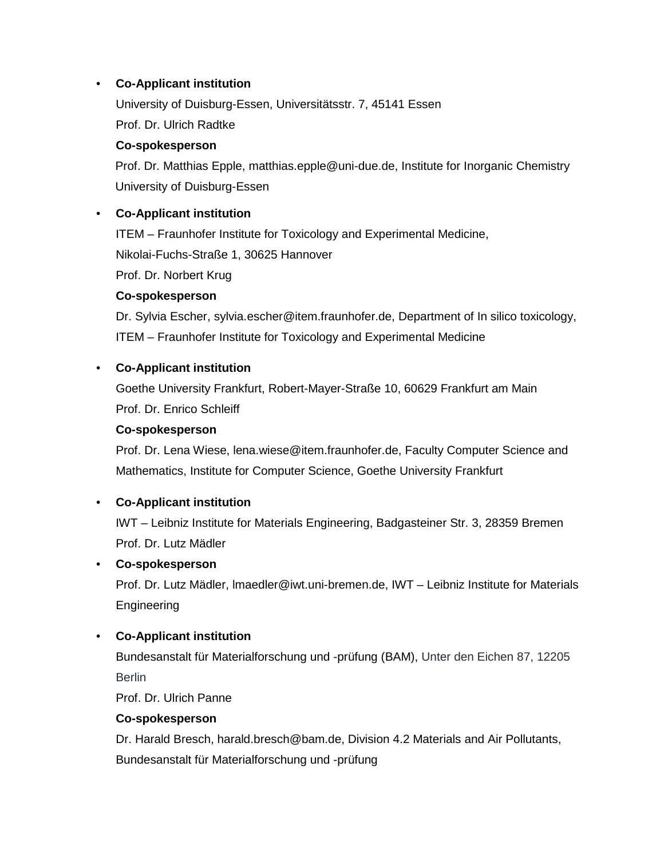# • **Co-Applicant institution**

University of Duisburg-Essen, Universitätsstr. 7, 45141 Essen Prof. Dr. Ulrich Radtke

# **Co-spokesperson**

Prof. Dr. Matthias Epple, matthias.epple@uni-due.de, Institute for Inorganic Chemistry University of Duisburg-Essen

# • **Co-Applicant institution**

ITEM – Fraunhofer Institute for Toxicology and Experimental Medicine,

Nikolai-Fuchs-Straße 1, 30625 Hannover

Prof. Dr. Norbert Krug

## **Co-spokesperson**

Dr. Sylvia Escher, sylvia.escher@item.fraunhofer.de, Department of In silico toxicology, ITEM – Fraunhofer Institute for Toxicology and Experimental Medicine

## • **Co-Applicant institution**

Goethe University Frankfurt, Robert-Mayer-Straße 10, 60629 Frankfurt am Main Prof. Dr. Enrico Schleiff

#### **Co-spokesperson**

Prof. Dr. Lena Wiese, [lena.wiese@item.fraunhofer.de,](mailto:lena.wiese@item.fraunhofer.de) Faculty Computer Science and Mathematics, Institute for Computer Science, Goethe University Frankfurt

# • **Co-Applicant institution**

IWT – Leibniz Institute for Materials Engineering, Badgasteiner Str. 3, 28359 Bremen Prof. Dr. Lutz Mädler

# • **Co-spokesperson**

Prof. Dr. Lutz Mädler, lmaedler@iwt.uni-bremen.de, IWT – Leibniz Institute for Materials Engineering

# • **Co-Applicant institution**

Bundesanstalt für Materialforschung und -prüfung (BAM), Unter den Eichen 87, 12205 **Berlin** 

Prof. Dr. Ulrich Panne

#### **Co-spokesperson**

Dr. Harald Bresch, [harald.bresch@bam.de,](mailto:harald.bresch@bam.de) Division 4.2 Materials and Air Pollutants, Bundesanstalt für Materialforschung und -prüfung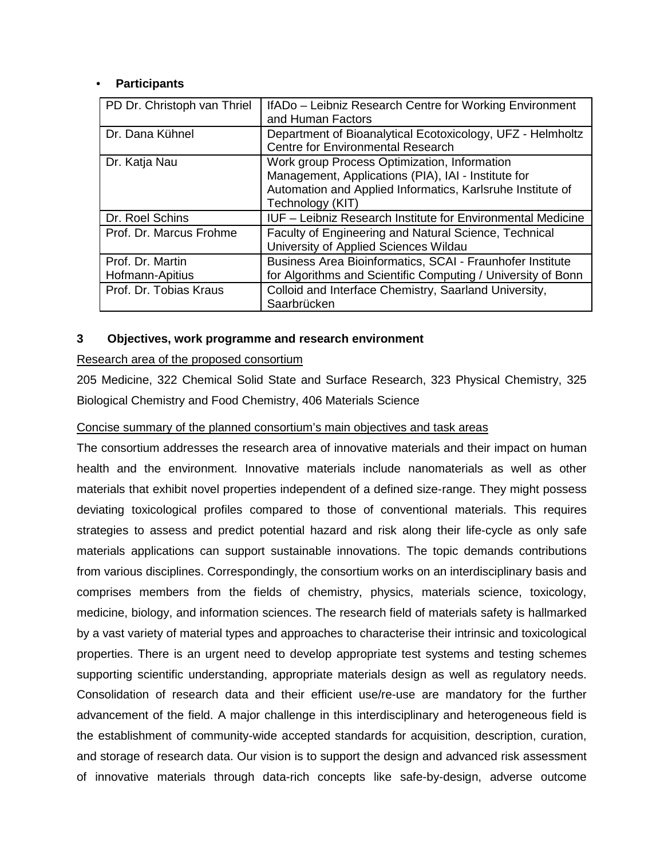#### • **Participants**

| PD Dr. Christoph van Thriel         | IfADo - Leibniz Research Centre for Working Environment<br>and Human Factors                                                                                                          |
|-------------------------------------|---------------------------------------------------------------------------------------------------------------------------------------------------------------------------------------|
| Dr. Dana Kühnel                     | Department of Bioanalytical Ecotoxicology, UFZ - Helmholtz<br><b>Centre for Environmental Research</b>                                                                                |
| Dr. Katja Nau                       | Work group Process Optimization, Information<br>Management, Applications (PIA), IAI - Institute for<br>Automation and Applied Informatics, Karlsruhe Institute of<br>Technology (KIT) |
| Dr. Roel Schins                     | <b>IUF</b> – Leibniz Research Institute for Environmental Medicine                                                                                                                    |
| Prof. Dr. Marcus Frohme             | Faculty of Engineering and Natural Science, Technical<br>University of Applied Sciences Wildau                                                                                        |
| Prof. Dr. Martin<br>Hofmann-Apitius | Business Area Bioinformatics, SCAI - Fraunhofer Institute<br>for Algorithms and Scientific Computing / University of Bonn                                                             |
| Prof. Dr. Tobias Kraus              | Colloid and Interface Chemistry, Saarland University,<br>Saarbrücken                                                                                                                  |

#### **3 Objectives, work programme and research environment**

#### Research area of the proposed consortium

205 Medicine, 322 Chemical Solid State and Surface Research, 323 Physical Chemistry, 325 Biological Chemistry and Food Chemistry, 406 Materials Science

#### Concise summary of the planned consortium's main objectives and task areas

The consortium addresses the research area of innovative materials and their impact on human health and the environment. Innovative materials include nanomaterials as well as other materials that exhibit novel properties independent of a defined size-range. They might possess deviating toxicological profiles compared to those of conventional materials. This requires strategies to assess and predict potential hazard and risk along their life-cycle as only safe materials applications can support sustainable innovations. The topic demands contributions from various disciplines. Correspondingly, the consortium works on an interdisciplinary basis and comprises members from the fields of chemistry, physics, materials science, toxicology, medicine, biology, and information sciences. The research field of materials safety is hallmarked by a vast variety of material types and approaches to characterise their intrinsic and toxicological properties. There is an urgent need to develop appropriate test systems and testing schemes supporting scientific understanding, appropriate materials design as well as regulatory needs. Consolidation of research data and their efficient use/re-use are mandatory for the further advancement of the field. A major challenge in this interdisciplinary and heterogeneous field is the establishment of community-wide accepted standards for acquisition, description, curation, and storage of research data. Our vision is to support the design and advanced risk assessment of innovative materials through data-rich concepts like safe-by-design, adverse outcome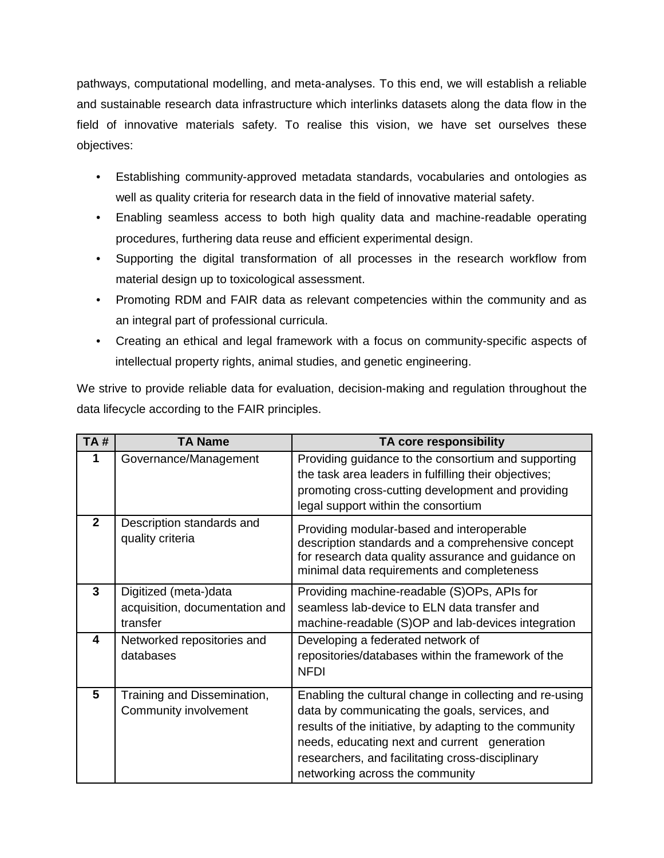pathways, computational modelling, and meta-analyses. To this end, we will establish a reliable and sustainable research data infrastructure which interlinks datasets along the data flow in the field of innovative materials safety. To realise this vision, we have set ourselves these objectives:

- Establishing community-approved metadata standards, vocabularies and ontologies as well as quality criteria for research data in the field of innovative material safety.
- Enabling seamless access to both high quality data and machine-readable operating procedures, furthering data reuse and efficient experimental design.
- Supporting the digital transformation of all processes in the research workflow from material design up to toxicological assessment.
- Promoting RDM and FAIR data as relevant competencies within the community and as an integral part of professional curricula.
- Creating an ethical and legal framework with a focus on community-specific aspects of intellectual property rights, animal studies, and genetic engineering.

We strive to provide reliable data for evaluation, decision-making and regulation throughout the data lifecycle according to the FAIR principles.

| TA#          | <b>TA Name</b>                                                      | TA core responsibility                                                                                                                                                                                                                                                                                      |
|--------------|---------------------------------------------------------------------|-------------------------------------------------------------------------------------------------------------------------------------------------------------------------------------------------------------------------------------------------------------------------------------------------------------|
|              | Governance/Management                                               | Providing guidance to the consortium and supporting<br>the task area leaders in fulfilling their objectives;<br>promoting cross-cutting development and providing<br>legal support within the consortium                                                                                                    |
| $\mathbf{2}$ | Description standards and<br>quality criteria                       | Providing modular-based and interoperable<br>description standards and a comprehensive concept<br>for research data quality assurance and guidance on<br>minimal data requirements and completeness                                                                                                         |
| $\mathbf{3}$ | Digitized (meta-)data<br>acquisition, documentation and<br>transfer | Providing machine-readable (S)OPs, APIs for<br>seamless lab-device to ELN data transfer and<br>machine-readable (S)OP and lab-devices integration                                                                                                                                                           |
| 4            | Networked repositories and<br>databases                             | Developing a federated network of<br>repositories/databases within the framework of the<br><b>NFDI</b>                                                                                                                                                                                                      |
| 5            | Training and Dissemination,<br>Community involvement                | Enabling the cultural change in collecting and re-using<br>data by communicating the goals, services, and<br>results of the initiative, by adapting to the community<br>needs, educating next and current generation<br>researchers, and facilitating cross-disciplinary<br>networking across the community |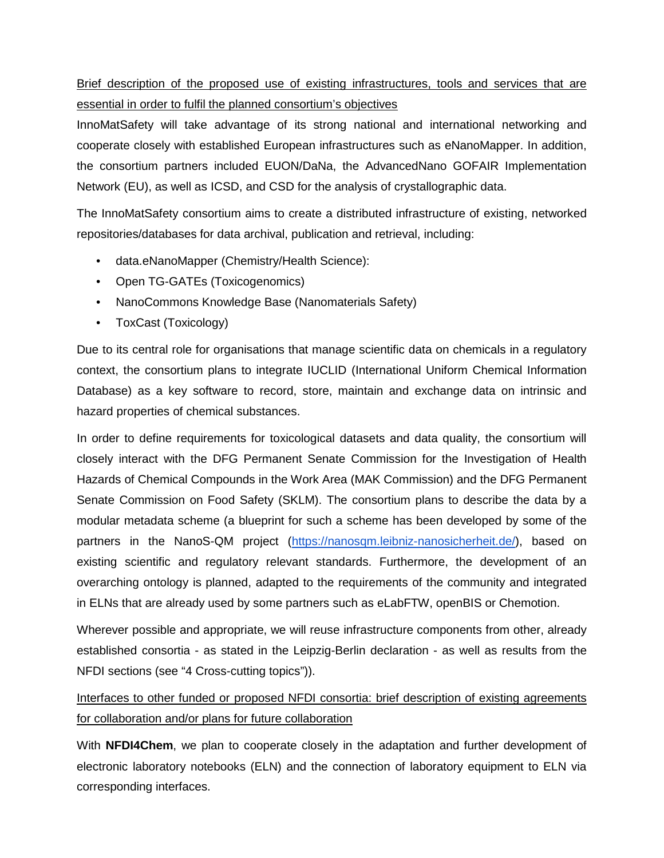# Brief description of the proposed use of existing infrastructures, tools and services that are essential in order to fulfil the planned consortium's objectives

InnoMatSafety will take advantage of its strong national and international networking and cooperate closely with established European infrastructures such as eNanoMapper. In addition, the consortium partners included EUON/DaNa, the AdvancedNano GOFAIR Implementation Network (EU), as well as ICSD, and CSD for the analysis of crystallographic data.

The InnoMatSafety consortium aims to create a distributed infrastructure of existing, networked repositories/databases for data archival, publication and retrieval, including:

- data.eNanoMapper (Chemistry/Health Science):
- Open TG-GATEs (Toxicogenomics)
- NanoCommons Knowledge Base (Nanomaterials Safety)
- ToxCast (Toxicology)

Due to its central role for organisations that manage scientific data on chemicals in a regulatory context, the consortium plans to integrate IUCLID (International Uniform Chemical Information Database) as a key software to record, store, maintain and exchange data on intrinsic and hazard properties of chemical substances.

In order to define requirements for toxicological datasets and data quality, the consortium will closely interact with the DFG Permanent Senate Commission for the Investigation of Health Hazards of Chemical Compounds in the Work Area (MAK Commission) and the DFG Permanent Senate Commission on Food Safety (SKLM). The consortium plans to describe the data by a modular metadata scheme (a blueprint for such a scheme has been developed by some of the partners in the NanoS-QM project [\(https://nanosqm.leibniz-nanosicherheit.de/\)](https://nanosqm.leibniz-nanosicherheit.de/), based on existing scientific and regulatory relevant standards. Furthermore, the development of an overarching ontology is planned, adapted to the requirements of the community and integrated in ELNs that are already used by some partners such as eLabFTW, openBIS or Chemotion.

Wherever possible and appropriate, we will reuse infrastructure components from other, already established consortia - as stated in the Leipzig-Berlin declaration - as well as results from the NFDI sections (see "4 Cross-cutting topics")).

Interfaces to other funded or proposed NFDI consortia: brief description of existing agreements for collaboration and/or plans for future collaboration

With **NFDI4Chem**, we plan to cooperate closely in the adaptation and further development of electronic laboratory notebooks (ELN) and the connection of laboratory equipment to ELN via corresponding interfaces.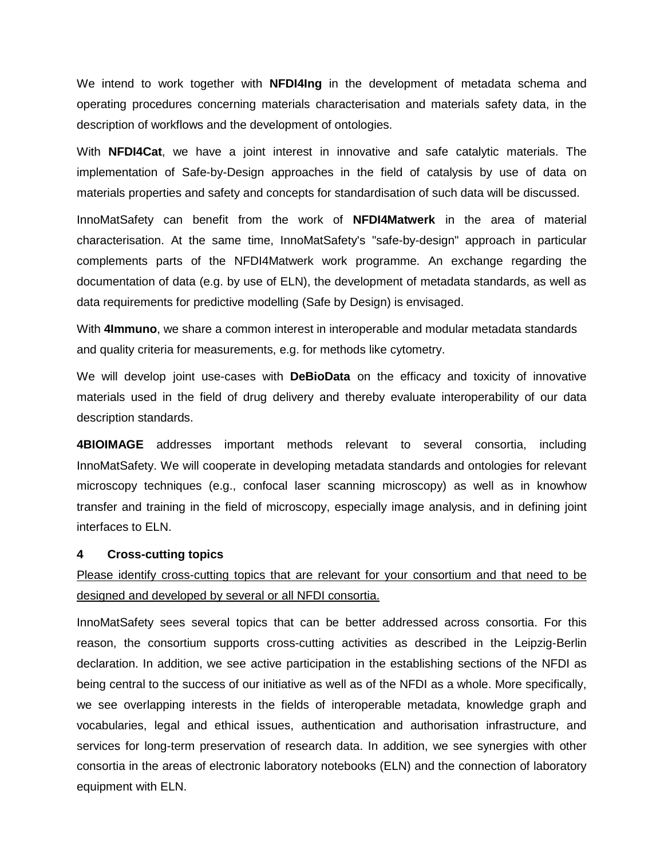We intend to work together with **NFDI4Ing** in the development of metadata schema and operating procedures concerning materials characterisation and materials safety data, in the description of workflows and the development of ontologies.

With **NFDI4Cat**, we have a joint interest in innovative and safe catalytic materials. The implementation of Safe-by-Design approaches in the field of catalysis by use of data on materials properties and safety and concepts for standardisation of such data will be discussed.

InnoMatSafety can benefit from the work of **NFDI4Matwerk** in the area of material characterisation. At the same time, InnoMatSafety's "safe-by-design" approach in particular complements parts of the NFDI4Matwerk work programme. An exchange regarding the documentation of data (e.g. by use of ELN), the development of metadata standards, as well as data requirements for predictive modelling (Safe by Design) is envisaged.

With **4Immuno**, we share a common interest in interoperable and modular metadata standards and quality criteria for measurements, e.g. for methods like cytometry.

We will develop joint use-cases with **DeBioData** on the efficacy and toxicity of innovative materials used in the field of drug delivery and thereby evaluate interoperability of our data description standards.

**4BIOIMAGE** addresses important methods relevant to several consortia, including InnoMatSafety. We will cooperate in developing metadata standards and ontologies for relevant microscopy techniques (e.g., confocal laser scanning microscopy) as well as in knowhow transfer and training in the field of microscopy, especially image analysis, and in defining joint interfaces to ELN.

#### **4 Cross-cutting topics**

# Please identify cross-cutting topics that are relevant for your consortium and that need to be designed and developed by several or all NFDI consortia.

InnoMatSafety sees several topics that can be better addressed across consortia. For this reason, the consortium supports cross-cutting activities as described in the Leipzig-Berlin declaration. In addition, we see active participation in the establishing sections of the NFDI as being central to the success of our initiative as well as of the NFDI as a whole. More specifically, we see overlapping interests in the fields of interoperable metadata, knowledge graph and vocabularies, legal and ethical issues, authentication and authorisation infrastructure, and services for long-term preservation of research data. In addition, we see synergies with other consortia in the areas of electronic laboratory notebooks (ELN) and the connection of laboratory equipment with ELN.